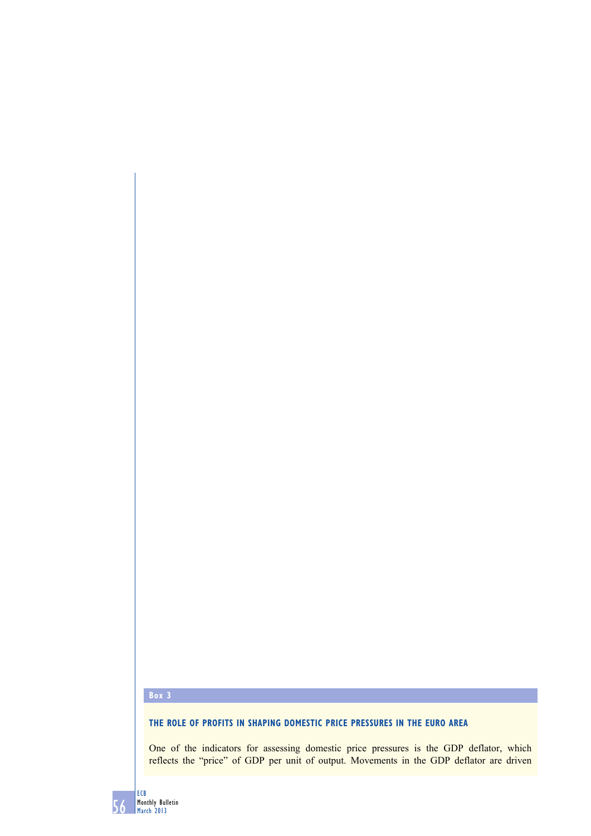# **box 3**

### **the role of ProfitS in ShaPinG domeStic Price PreSSureS in the euro area**

One of the indicators for assessing domestic price pressures is the GDP deflator, which reflects the "price" of GDP per unit of output. Movements in the GDP deflator are driven

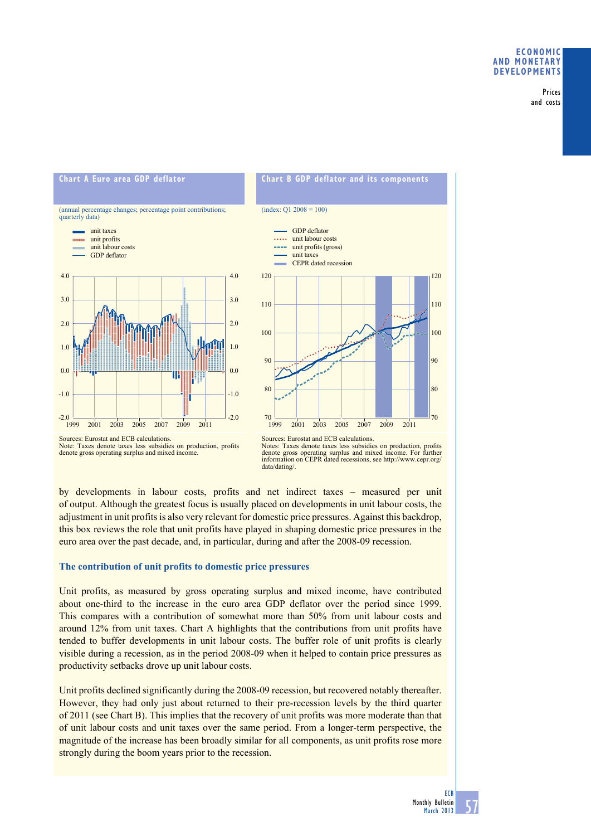### **economic and monetary deVeloPmentS**

Prices and costs

## **Chart A Euro area GDP deflator**

(annual percentage changes; percentage point contributions; quarterly data)





#### Sources: Eurostat and ECB calculations. Note: Taxes denote taxes less subsidies on production, profits denote gross operating surplus and mixed income.

Sources: Eurostat and ECB calculations.<br>Notes: Taxes denote taxes less subsidies on production, profits<br>denote gross operating surplus and mixed income. For further information on CEPR dated recessions, see http://www.cepr.org/ data/dating/.

by developments in labour costs, profits and net indirect taxes – measured per unit of output. Although the greatest focus is usually placed on developments in unit labour costs, the adjustment in unit profits is also very relevant for domestic price pressures. Against this backdrop, this box reviews the role that unit profits have played in shaping domestic price pressures in the euro area over the past decade, and, in particular, during and after the 2008-09 recession.

### **The contribution of unit profits to domestic price pressures**

Unit profits, as measured by gross operating surplus and mixed income, have contributed about one-third to the increase in the euro area GDP deflator over the period since 1999. This compares with a contribution of somewhat more than 50% from unit labour costs and around 12% from unit taxes. Chart A highlights that the contributions from unit profits have tended to buffer developments in unit labour costs. The buffer role of unit profits is clearly visible during a recession, as in the period 2008-09 when it helped to contain price pressures as productivity setbacks drove up unit labour costs.

Unit profits declined significantly during the 2008-09 recession, but recovered notably thereafter. However, they had only just about returned to their pre-recession levels by the third quarter of 2011 (see Chart B). This implies that the recovery of unit profits was more moderate than that of unit labour costs and unit taxes over the same period. From a longer-term perspective, the magnitude of the increase has been broadly similar for all components, as unit profits rose more strongly during the boom years prior to the recession.